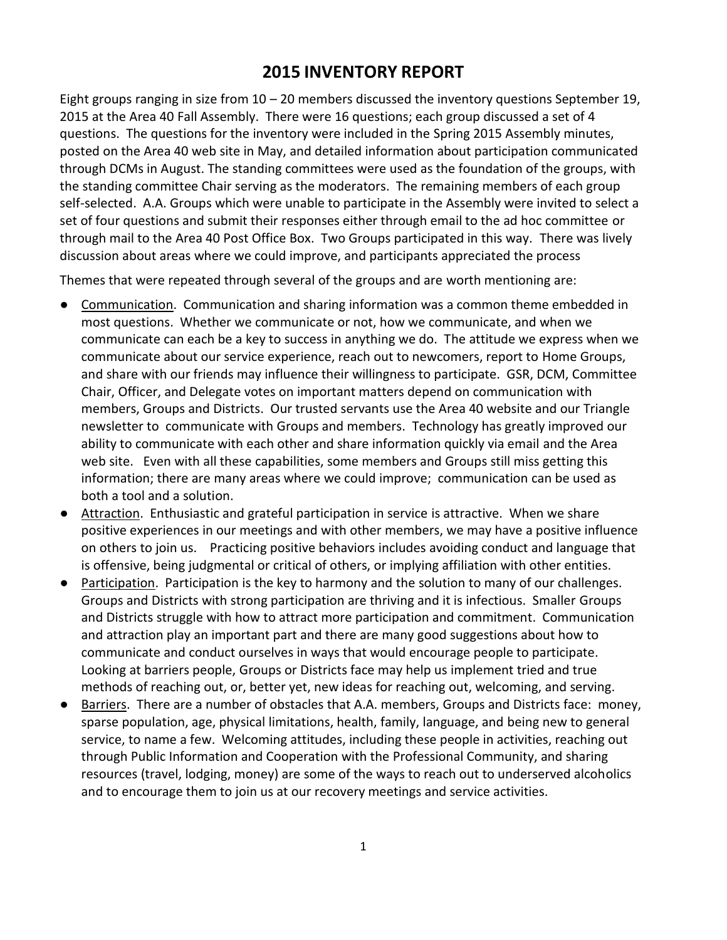# **2015 INVENTORY REPORT**

Eight groups ranging in size from  $10 - 20$  members discussed the inventory questions September 19, 2015 at the Area 40 Fall Assembly. There were 16 questions; each group discussed a set of 4 questions. The questions for the inventory were included in the Spring 2015 Assembly minutes, posted on the Area 40 web site in May, and detailed information about participation communicated through DCMs in August. The standing committees were used as the foundation of the groups, with the standing committee Chair serving as the moderators. The remaining members of each group self-selected. A.A. Groups which were unable to participate in the Assembly were invited to select a set of four questions and submit their responses either through email to the ad hoc committee or through mail to the Area 40 Post Office Box. Two Groups participated in this way. There was lively discussion about areas where we could improve, and participants appreciated the process

Themes that were repeated through several of the groups and are worth mentioning are:

- Communication. Communication and sharing information was a common theme embedded in most questions. Whether we communicate or not, how we communicate, and when we communicate can each be a key to success in anything we do. The attitude we express when we communicate about our service experience, reach out to newcomers, report to Home Groups, and share with our friends may influence their willingness to participate. GSR, DCM, Committee Chair, Officer, and Delegate votes on important matters depend on communication with members, Groups and Districts. Our trusted servants use the Area 40 website and our Triangle newsletter to communicate with Groups and members. Technology has greatly improved our ability to communicate with each other and share information quickly via email and the Area web site. Even with all these capabilities, some members and Groups still miss getting this information; there are many areas where we could improve; communication can be used as both a tool and a solution.
- Attraction. Enthusiastic and grateful participation in service is attractive. When we share positive experiences in our meetings and with other members, we may have a positive influence on others to join us. Practicing positive behaviors includes avoiding conduct and language that is offensive, being judgmental or critical of others, or implying affiliation with other entities.
- Participation. Participation is the key to harmony and the solution to many of our challenges. Groups and Districts with strong participation are thriving and it is infectious. Smaller Groups and Districts struggle with how to attract more participation and commitment. Communication and attraction play an important part and there are many good suggestions about how to communicate and conduct ourselves in ways that would encourage people to participate. Looking at barriers people, Groups or Districts face may help us implement tried and true methods of reaching out, or, better yet, new ideas for reaching out, welcoming, and serving.
- Barriers. There are a number of obstacles that A.A. members, Groups and Districts face: money, sparse population, age, physical limitations, health, family, language, and being new to general service, to name a few. Welcoming attitudes, including these people in activities, reaching out through Public Information and Cooperation with the Professional Community, and sharing resources (travel, lodging, money) are some of the ways to reach out to underserved alcoholics and to encourage them to join us at our recovery meetings and service activities.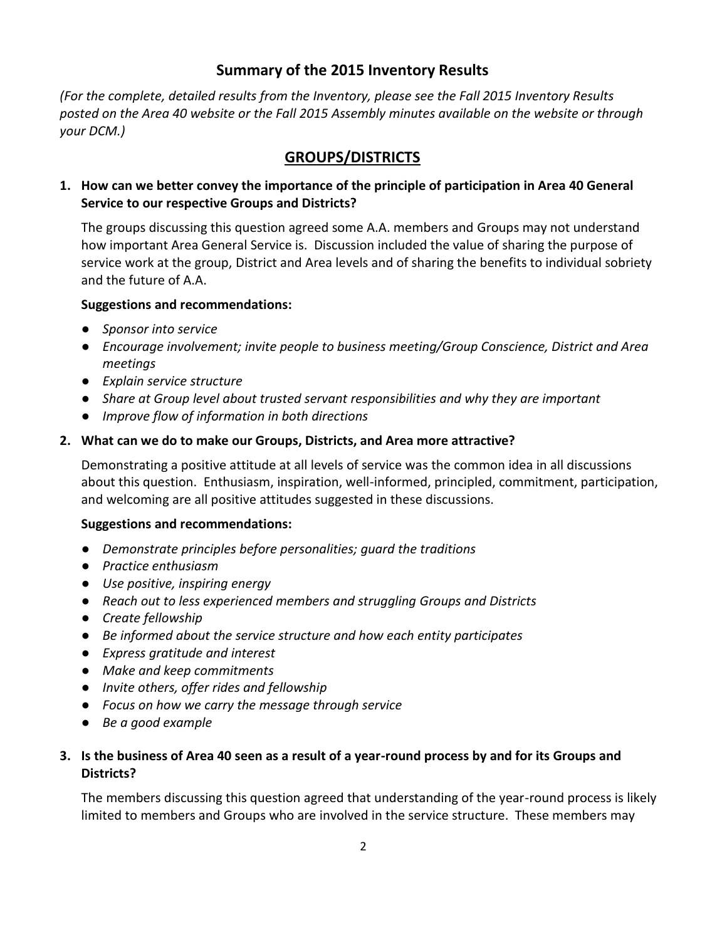# **Summary of the 2015 Inventory Results**

*(For the complete, detailed results from the Inventory, please see the Fall 2015 Inventory Results posted on the Area 40 website or the Fall 2015 Assembly minutes available on the website or through your DCM.)*

# **GROUPS/DISTRICTS**

# **1. How can we better convey the importance of the principle of participation in Area 40 General Service to our respective Groups and Districts?**

The groups discussing this question agreed some A.A. members and Groups may not understand how important Area General Service is. Discussion included the value of sharing the purpose of service work at the group, District and Area levels and of sharing the benefits to individual sobriety and the future of A.A.

#### **Suggestions and recommendations:**

- *Sponsor into service*
- *Encourage involvement; invite people to business meeting/Group Conscience, District and Area meetings*
- *Explain service structure*
- *Share at Group level about trusted servant responsibilities and why they are important*
- *Improve flow of information in both directions*

#### **2. What can we do to make our Groups, Districts, and Area more attractive?**

Demonstrating a positive attitude at all levels of service was the common idea in all discussions about this question. Enthusiasm, inspiration, well-informed, principled, commitment, participation, and welcoming are all positive attitudes suggested in these discussions.

#### **Suggestions and recommendations:**

- *Demonstrate principles before personalities; guard the traditions*
- *Practice enthusiasm*
- *Use positive, inspiring energy*
- *Reach out to less experienced members and struggling Groups and Districts*
- *Create fellowship*
- *Be informed about the service structure and how each entity participates*
- *Express gratitude and interest*
- *Make and keep commitments*
- *Invite others, offer rides and fellowship*
- *Focus on how we carry the message through service*
- *Be a good example*

# **3. Is the business of Area 40 seen as a result of a year-round process by and for its Groups and Districts?**

The members discussing this question agreed that understanding of the year-round process is likely limited to members and Groups who are involved in the service structure. These members may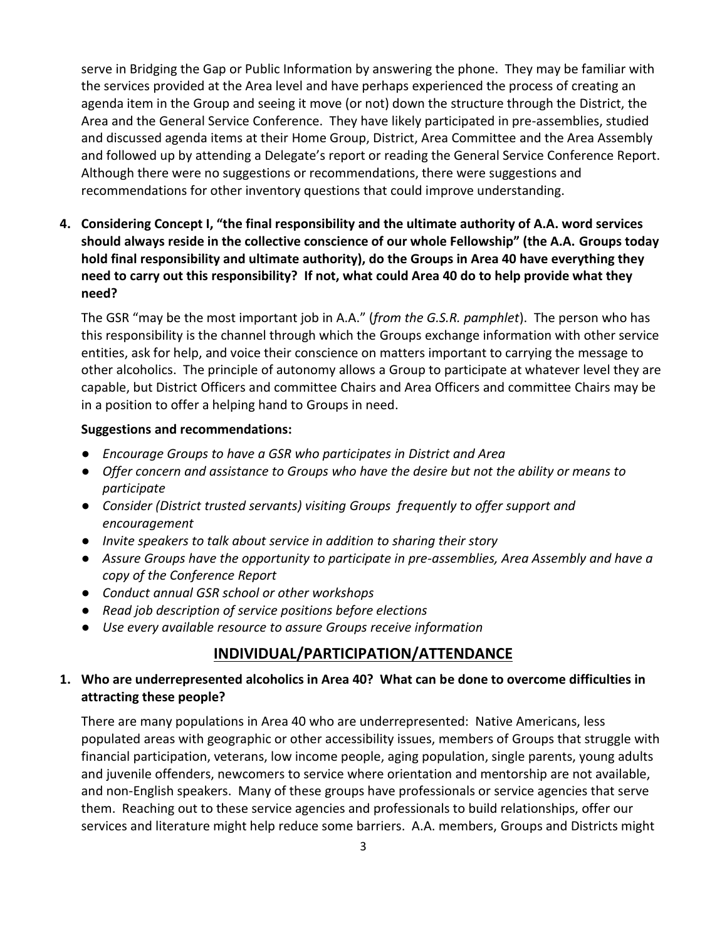serve in Bridging the Gap or Public Information by answering the phone. They may be familiar with the services provided at the Area level and have perhaps experienced the process of creating an agenda item in the Group and seeing it move (or not) down the structure through the District, the Area and the General Service Conference. They have likely participated in pre-assemblies, studied and discussed agenda items at their Home Group, District, Area Committee and the Area Assembly and followed up by attending a Delegate's report or reading the General Service Conference Report. Although there were no suggestions or recommendations, there were suggestions and recommendations for other inventory questions that could improve understanding.

**4. Considering Concept I, "the final responsibility and the ultimate authority of A.A. word services should always reside in the collective conscience of our whole Fellowship" (the A.A. Groups today hold final responsibility and ultimate authority), do the Groups in Area 40 have everything they need to carry out this responsibility? If not, what could Area 40 do to help provide what they need?**

The GSR "may be the most important job in A.A." (*from the G.S.R. pamphlet*). The person who has this responsibility is the channel through which the Groups exchange information with other service entities, ask for help, and voice their conscience on matters important to carrying the message to other alcoholics. The principle of autonomy allows a Group to participate at whatever level they are capable, but District Officers and committee Chairs and Area Officers and committee Chairs may be in a position to offer a helping hand to Groups in need.

#### **Suggestions and recommendations:**

- *Encourage Groups to have a GSR who participates in District and Area*
- *Offer concern and assistance to Groups who have the desire but not the ability or means to participate*
- *Consider (District trusted servants) visiting Groups frequently to offer support and encouragement*
- *Invite speakers to talk about service in addition to sharing their story*
- *Assure Groups have the opportunity to participate in pre-assemblies, Area Assembly and have a copy of the Conference Report*
- *Conduct annual GSR school or other workshops*
- *Read job description of service positions before elections*
- *Use every available resource to assure Groups receive information*

# **INDIVIDUAL/PARTICIPATION/ATTENDANCE**

# **1. Who are underrepresented alcoholics in Area 40? What can be done to overcome difficulties in attracting these people?**

There are many populations in Area 40 who are underrepresented: Native Americans, less populated areas with geographic or other accessibility issues, members of Groups that struggle with financial participation, veterans, low income people, aging population, single parents, young adults and juvenile offenders, newcomers to service where orientation and mentorship are not available, and non-English speakers. Many of these groups have professionals or service agencies that serve them. Reaching out to these service agencies and professionals to build relationships, offer our services and literature might help reduce some barriers. A.A. members, Groups and Districts might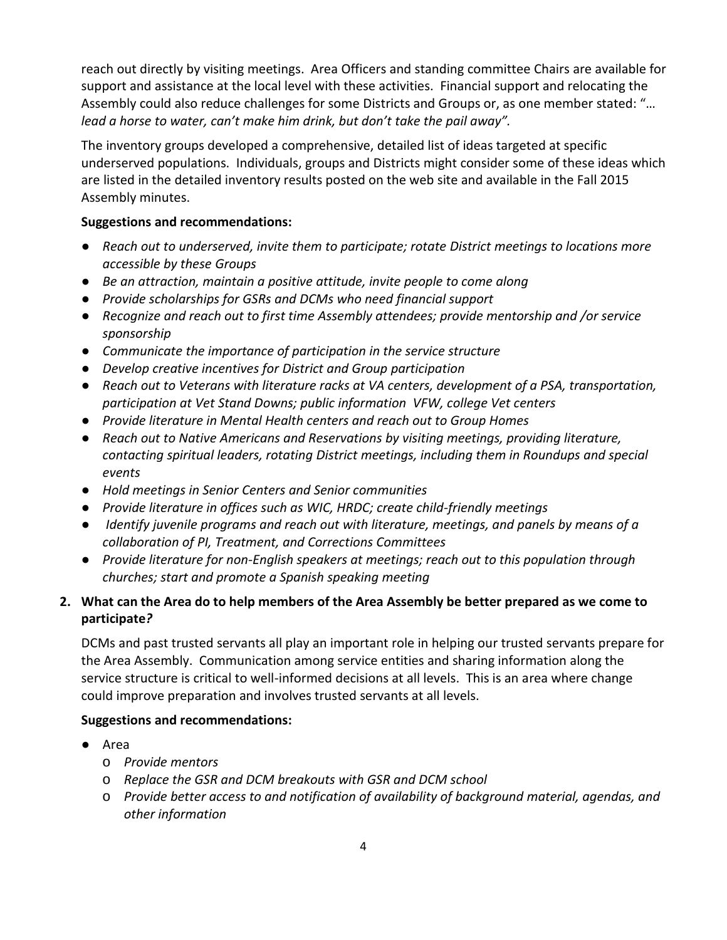reach out directly by visiting meetings. Area Officers and standing committee Chairs are available for support and assistance at the local level with these activities. Financial support and relocating the Assembly could also reduce challenges for some Districts and Groups or, as one member stated: "… *lead a horse to water, can't make him drink, but don't take the pail away".*

The inventory groups developed a comprehensive, detailed list of ideas targeted at specific underserved populations. Individuals, groups and Districts might consider some of these ideas which are listed in the detailed inventory results posted on the web site and available in the Fall 2015 Assembly minutes.

# **Suggestions and recommendations:**

- *Reach out to underserved, invite them to participate; rotate District meetings to locations more accessible by these Groups*
- *Be an attraction, maintain a positive attitude, invite people to come along*
- *Provide scholarships for GSRs and DCMs who need financial support*
- *Recognize and reach out to first time Assembly attendees; provide mentorship and /or service sponsorship*
- *Communicate the importance of participation in the service structure*
- *Develop creative incentives for District and Group participation*
- *Reach out to Veterans with literature racks at VA centers, development of a PSA, transportation, participation at Vet Stand Downs; public information VFW, college Vet centers*
- *Provide literature in Mental Health centers and reach out to Group Homes*
- *Reach out to Native Americans and Reservations by visiting meetings, providing literature, contacting spiritual leaders, rotating District meetings, including them in Roundups and special events*
- *Hold meetings in Senior Centers and Senior communities*
- *Provide literature in offices such as WIC, HRDC; create child-friendly meetings*
- *Identify juvenile programs and reach out with literature, meetings, and panels by means of a collaboration of PI, Treatment, and Corrections Committees*
- *Provide literature for non-English speakers at meetings; reach out to this population through churches; start and promote a Spanish speaking meeting*

# **2. What can the Area do to help members of the Area Assembly be better prepared as we come to participate***?*

DCMs and past trusted servants all play an important role in helping our trusted servants prepare for the Area Assembly. Communication among service entities and sharing information along the service structure is critical to well-informed decisions at all levels. This is an area where change could improve preparation and involves trusted servants at all levels.

- Area
	- o *Provide mentors*
	- o *Replace the GSR and DCM breakouts with GSR and DCM school*
	- o *Provide better access to and notification of availability of background material, agendas, and other information*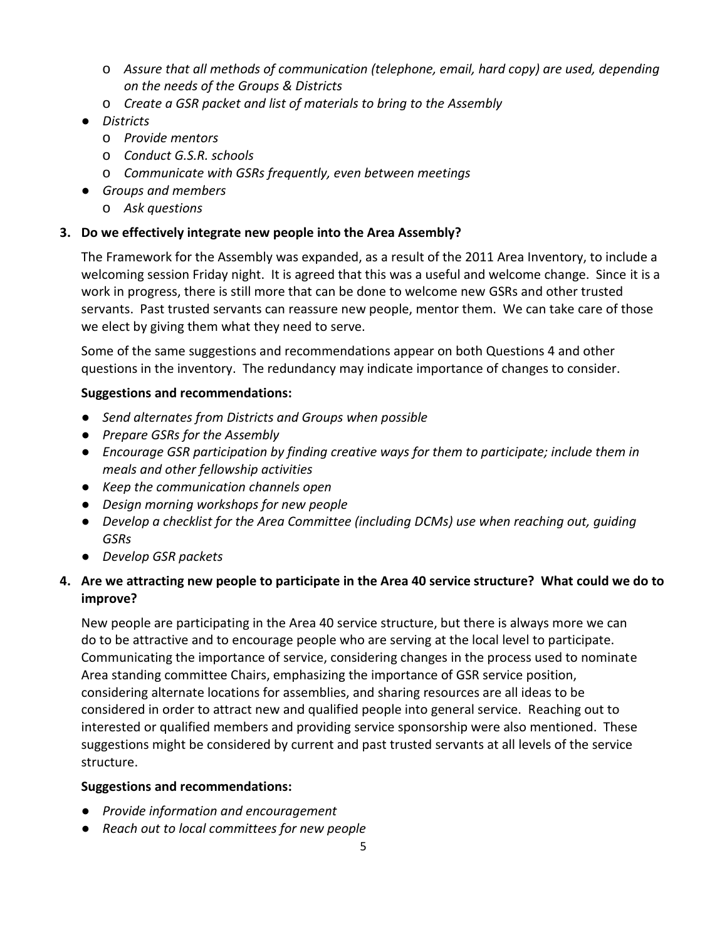- o *Assure that all methods of communication (telephone, email, hard copy) are used, depending on the needs of the Groups & Districts*
- o *Create a GSR packet and list of materials to bring to the Assembly*
- *Districts*
	- o *Provide mentors*
	- o *Conduct G.S.R. schools*
	- o *Communicate with GSRs frequently, even between meetings*
- *Groups and members*
	- o *Ask questions*

# **3. Do we effectively integrate new people into the Area Assembly?**

The Framework for the Assembly was expanded, as a result of the 2011 Area Inventory, to include a welcoming session Friday night. It is agreed that this was a useful and welcome change. Since it is a work in progress, there is still more that can be done to welcome new GSRs and other trusted servants. Past trusted servants can reassure new people, mentor them. We can take care of those we elect by giving them what they need to serve.

Some of the same suggestions and recommendations appear on both Questions 4 and other questions in the inventory. The redundancy may indicate importance of changes to consider.

# **Suggestions and recommendations:**

- *Send alternates from Districts and Groups when possible*
- *Prepare GSRs for the Assembly*
- *Encourage GSR participation by finding creative ways for them to participate; include them in meals and other fellowship activities*
- *Keep the communication channels open*
- *Design morning workshops for new people*
- *Develop a checklist for the Area Committee (including DCMs) use when reaching out, guiding GSRs*
- *Develop GSR packets*

# **4. Are we attracting new people to participate in the Area 40 service structure? What could we do to improve?**

New people are participating in the Area 40 service structure, but there is always more we can do to be attractive and to encourage people who are serving at the local level to participate. Communicating the importance of service, considering changes in the process used to nominate Area standing committee Chairs, emphasizing the importance of GSR service position, considering alternate locations for assemblies, and sharing resources are all ideas to be considered in order to attract new and qualified people into general service. Reaching out to interested or qualified members and providing service sponsorship were also mentioned. These suggestions might be considered by current and past trusted servants at all levels of the service structure.

- *Provide information and encouragement*
- *Reach out to local committees for new people*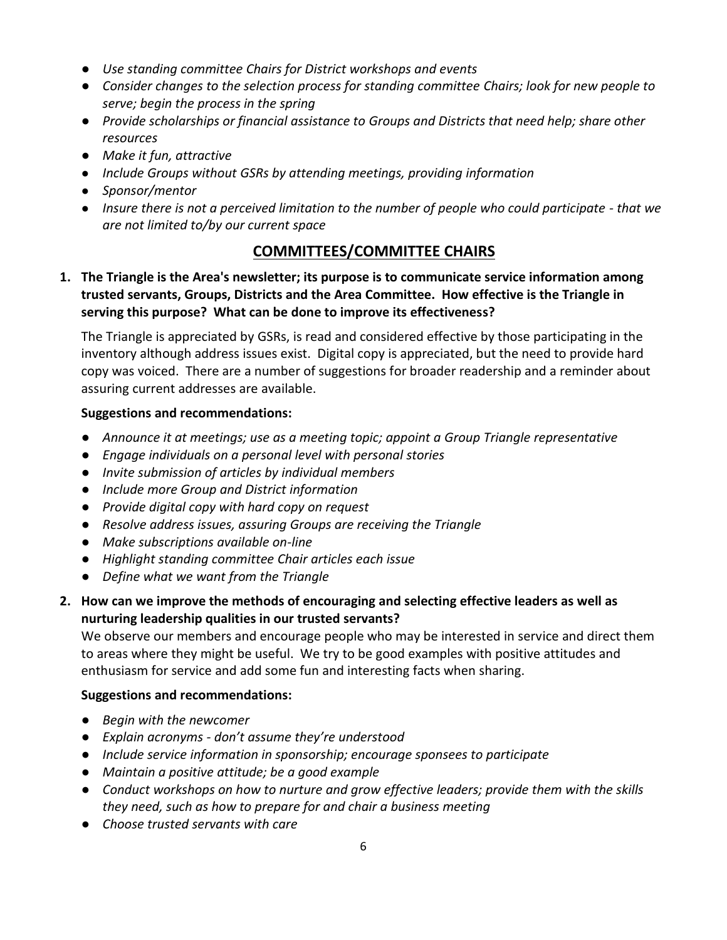- *Use standing committee Chairs for District workshops and events*
- *Consider changes to the selection process for standing committee Chairs; look for new people to serve; begin the process in the spring*
- *Provide scholarships or financial assistance to Groups and Districts that need help; share other resources*
- *Make it fun, attractive*
- *Include Groups without GSRs by attending meetings, providing information*
- *Sponsor/mentor*
- *Insure there is not a perceived limitation to the number of people who could participate - that we are not limited to/by our current space*

# **COMMITTEES/COMMITTEE CHAIRS**

**1. The Triangle is the Area's newsletter; its purpose is to communicate service information among trusted servants, Groups, Districts and the Area Committee. How effective is the Triangle in serving this purpose? What can be done to improve its effectiveness?**

The Triangle is appreciated by GSRs, is read and considered effective by those participating in the inventory although address issues exist. Digital copy is appreciated, but the need to provide hard copy was voiced. There are a number of suggestions for broader readership and a reminder about assuring current addresses are available.

# **Suggestions and recommendations:**

- *Announce it at meetings; use as a meeting topic; appoint a Group Triangle representative*
- *Engage individuals on a personal level with personal stories*
- *Invite submission of articles by individual members*
- *Include more Group and District information*
- *Provide digital copy with hard copy on request*
- *Resolve address issues, assuring Groups are receiving the Triangle*
- *Make subscriptions available on-line*
- *Highlight standing committee Chair articles each issue*
- *Define what we want from the Triangle*
- **2. How can we improve the methods of encouraging and selecting effective leaders as well as nurturing leadership qualities in our trusted servants?**

We observe our members and encourage people who may be interested in service and direct them to areas where they might be useful. We try to be good examples with positive attitudes and enthusiasm for service and add some fun and interesting facts when sharing.

- *Begin with the newcomer*
- *Explain acronyms - don't assume they're understood*
- *Include service information in sponsorship; encourage sponsees to participate*
- *Maintain a positive attitude; be a good example*
- *Conduct workshops on how to nurture and grow effective leaders; provide them with the skills they need, such as how to prepare for and chair a business meeting*
- *Choose trusted servants with care*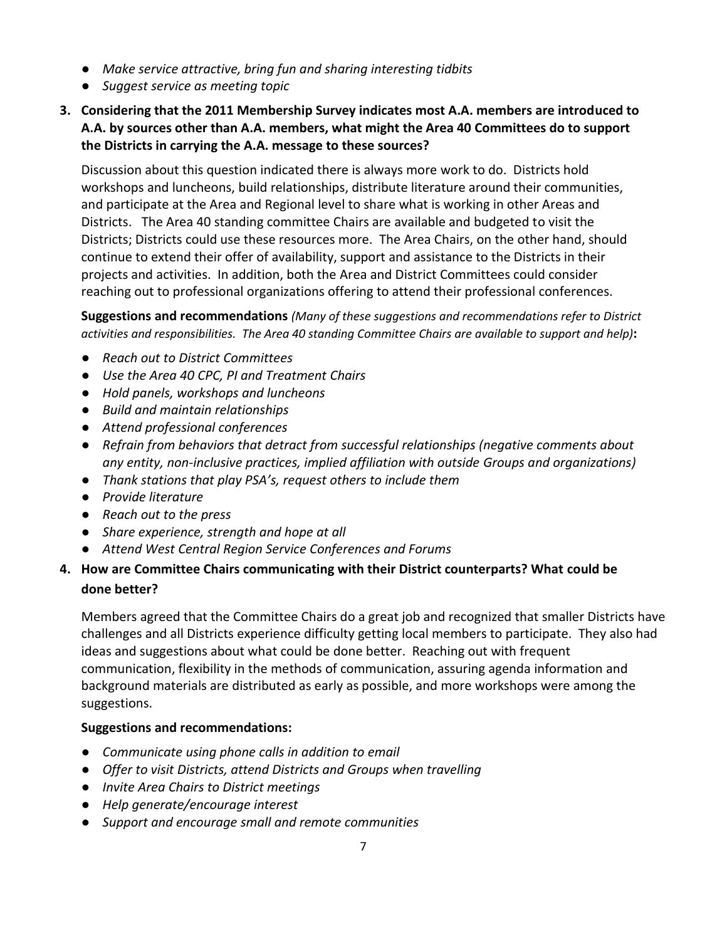- *Make service attractive, bring fun and sharing interesting tidbits*
- *Suggest service as meeting topic*
- **3. Considering that the 2011 Membership Survey indicates most A.A. members are introduced to A.A. by sources other than A.A. members, what might the Area 40 Committees do to support the Districts in carrying the A.A. message to these sources?**

Discussion about this question indicated there is always more work to do. Districts hold workshops and luncheons, build relationships, distribute literature around their communities, and participate at the Area and Regional level to share what is working in other Areas and Districts. The Area 40 standing committee Chairs are available and budgeted to visit the Districts; Districts could use these resources more. The Area Chairs, on the other hand, should continue to extend their offer of availability, support and assistance to the Districts in their projects and activities. In addition, both the Area and District Committees could consider reaching out to professional organizations offering to attend their professional conferences.

**Suggestions and recommendations** *(Many of these suggestions and recommendations refer to District activities and responsibilities. The Area 40 standing Committee Chairs are available to support and help)***:**

- *Reach out to District Committees*
- *Use the Area 40 CPC, PI and Treatment Chairs*
- *Hold panels, workshops and luncheons*
- *Build and maintain relationships*
- *Attend professional conferences*
- *Refrain from behaviors that detract from successful relationships (negative comments about any entity, non-inclusive practices, implied affiliation with outside Groups and organizations)*
- *Thank stations that play PSA's, request others to include them*
- *Provide literature*
- *Reach out to the press*
- *Share experience, strength and hope at all*
- *Attend West Central Region Service Conferences and Forums*

# **4. How are Committee Chairs communicating with their District counterparts? What could be done better?**

Members agreed that the Committee Chairs do a great job and recognized that smaller Districts have challenges and all Districts experience difficulty getting local members to participate. They also had ideas and suggestions about what could be done better. Reaching out with frequent communication, flexibility in the methods of communication, assuring agenda information and background materials are distributed as early as possible, and more workshops were among the suggestions.

- *Communicate using phone calls in addition to email*
- *Offer to visit Districts, attend Districts and Groups when travelling*
- *Invite Area Chairs to District meetings*
- *Help generate/encourage interest*
- *Support and encourage small and remote communities*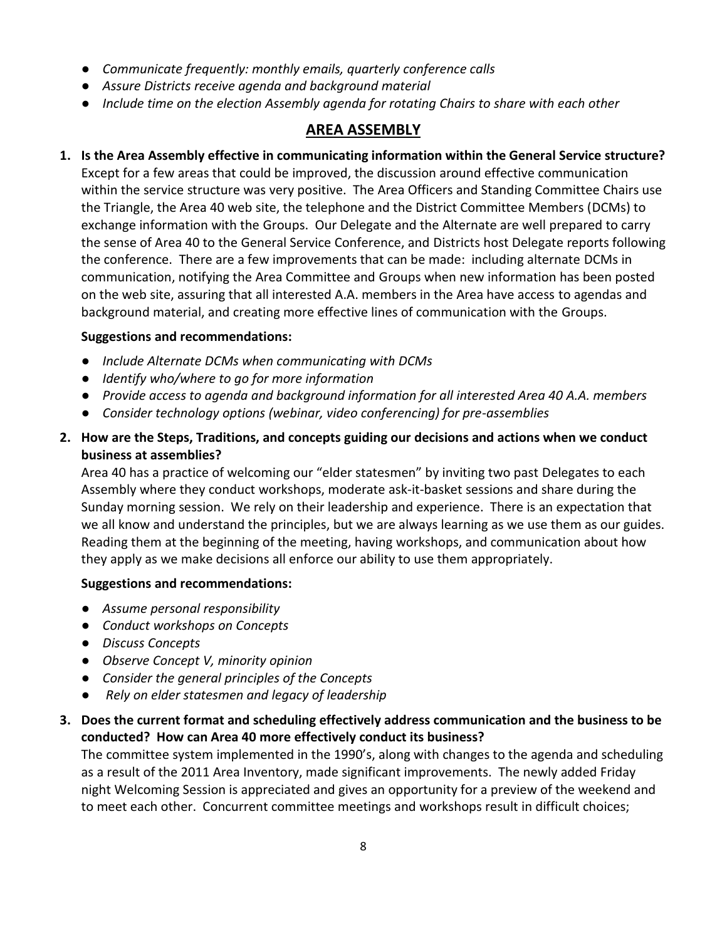- *Communicate frequently: monthly emails, quarterly conference calls*
- *Assure Districts receive agenda and background material*
- *Include time on the election Assembly agenda for rotating Chairs to share with each other*

# **AREA ASSEMBLY**

**1. Is the Area Assembly effective in communicating information within the General Service structure?** Except for a few areas that could be improved, the discussion around effective communication within the service structure was very positive. The Area Officers and Standing Committee Chairs use the Triangle, the Area 40 web site, the telephone and the District Committee Members (DCMs) to exchange information with the Groups. Our Delegate and the Alternate are well prepared to carry the sense of Area 40 to the General Service Conference, and Districts host Delegate reports following the conference. There are a few improvements that can be made: including alternate DCMs in communication, notifying the Area Committee and Groups when new information has been posted on the web site, assuring that all interested A.A. members in the Area have access to agendas and background material, and creating more effective lines of communication with the Groups.

#### **Suggestions and recommendations:**

- *Include Alternate DCMs when communicating with DCMs*
- *Identify who/where to go for more information*
- *Provide access to agenda and background information for all interested Area 40 A.A. members*
- *Consider technology options (webinar, video conferencing) for pre-assemblies*
- **2. How are the Steps, Traditions, and concepts guiding our decisions and actions when we conduct business at assemblies?**

Area 40 has a practice of welcoming our "elder statesmen" by inviting two past Delegates to each Assembly where they conduct workshops, moderate ask-it-basket sessions and share during the Sunday morning session. We rely on their leadership and experience. There is an expectation that we all know and understand the principles, but we are always learning as we use them as our guides. Reading them at the beginning of the meeting, having workshops, and communication about how they apply as we make decisions all enforce our ability to use them appropriately.

#### **Suggestions and recommendations:**

- *Assume personal responsibility*
- *Conduct workshops on Concepts*
- *Discuss Concepts*
- *Observe Concept V, minority opinion*
- *Consider the general principles of the Concepts*
- *Rely on elder statesmen and legacy of leadership*
- **3. Does the current format and scheduling effectively address communication and the business to be conducted? How can Area 40 more effectively conduct its business?**

The committee system implemented in the 1990's, along with changes to the agenda and scheduling as a result of the 2011 Area Inventory, made significant improvements. The newly added Friday night Welcoming Session is appreciated and gives an opportunity for a preview of the weekend and to meet each other. Concurrent committee meetings and workshops result in difficult choices;